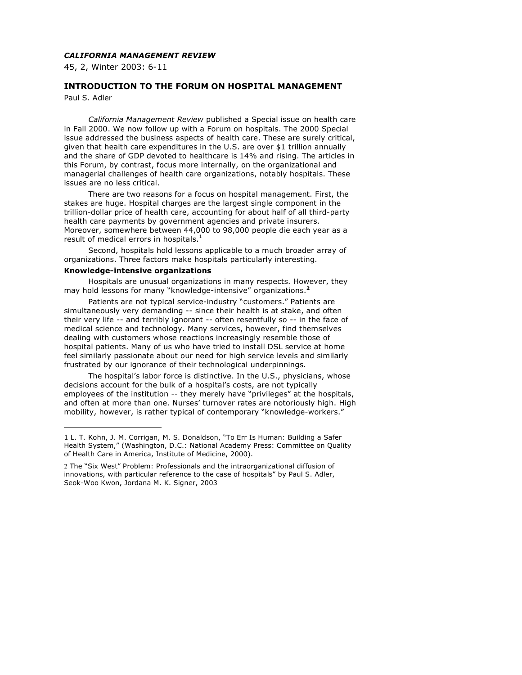## *CALIFORNIA MANAGEMENT REVIEW*

45, 2, Winter 2003: 6-11

# **INTRODUCTION TO THE FORUM ON HOSPITAL MANAGEMENT**

Paul S. Adler

 $\overline{a}$ 

*California Management Review* published a Special issue on health care in Fall 2000. We now follow up with a Forum on hospitals. The 2000 Special issue addressed the business aspects of health care. These are surely critical, given that health care expenditures in the U.S. are over \$1 trillion annually and the share of GDP devoted to healthcare is 14% and rising. The articles in this Forum, by contrast, focus more internally, on the organizational and managerial challenges of health care organizations, notably hospitals. These issues are no less critical.

There are two reasons for a focus on hospital management. First, the stakes are huge. Hospital charges are the largest single component in the trillion-dollar price of health care, accounting for about half of all third-party health care payments by government agencies and private insurers. Moreover, somewhere between 44,000 to 98,000 people die each year as a result of medical errors in hospitals.<sup>1</sup>

Second, hospitals hold lessons applicable to a much broader array of organizations. Three factors make hospitals particularly interesting.

#### **Knowledge-intensive organizations**

Hospitals are unusual organizations in many respects. However, they may hold lessons for many "knowledge-intensive" organizations. **2**

Patients are not typical service-industry "customers." Patients are simultaneously very demanding -- since their health is at stake, and often their very life -- and terribly ignorant -- often resentfully so -- in the face of medical science and technology. Many services, however, find themselves dealing with customers whose reactions increasingly resemble those of hospital patients. Many of us who have tried to install DSL service at home feel similarly passionate about our need for high service levels and similarly frustrated by our ignorance of their technological underpinnings.

The hospital's labor force is distinctive. In the U.S., physicians, whose decisions account for the bulk of a hospital's costs, are not typically employees of the institution -- they merely have "privileges" at the hospitals, and often at more than one. Nurses' turnover rates are notoriously high. High mobility, however, is rather typical of contemporary "knowledge-workers."

<sup>1</sup> L. T. Kohn, J. M. Corrigan, M. S. Donaldson, "To Err Is Human: Building a Safer Health System," (Washington, D.C.: National Academy Press: Committee on Quality of Health Care in America, Institute of Medicine, 2000).

<sup>2</sup> The "Six West" Problem: Professionals and the intraorganizational diffusion of innovations, with particular reference to the case of hospitals" by Paul S. Adler, Seok-Woo Kwon, Jordana M. K. Signer, 2003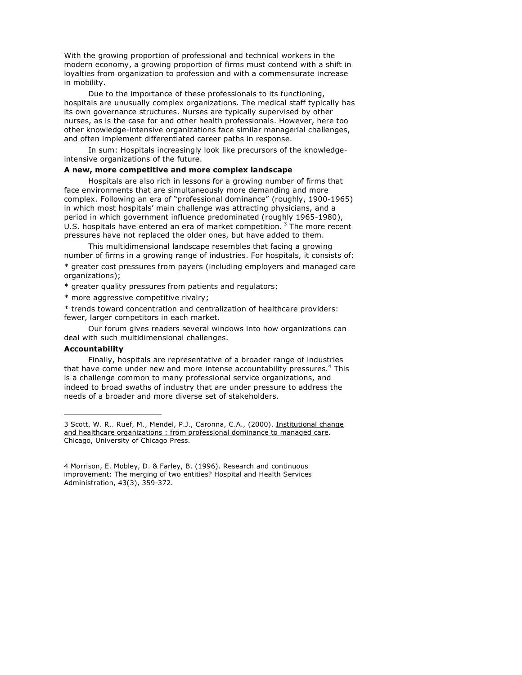With the growing proportion of professional and technical workers in the modern economy, a growing proportion of firms must contend with a shift in loyalties from organization to profession and with a commensurate increase in mobility.

Due to the importance of these professionals to its functioning, hospitals are unusually complex organizations. The medical staff typically has its own governance structures. Nurses are typically supervised by other nurses, as is the case for and other health professionals. However, here too other knowledge-intensive organizations face similar managerial challenges, and often implement differentiated career paths in response.

In sum: Hospitals increasingly look like precursors of the knowledgeintensive organizations of the future.

#### **A new, more competitive and more complex landscape**

Hospitals are also rich in lessons for a growing number of firms that face environments that are simultaneously more demanding and more complex. Following an era of "professional dominance" (roughly, 1900-1965) in which most hospitals' main challenge was attracting physicians, and a period in which government influence predominated (roughly 1965-1980), U.S. hospitals have entered an era of market competition.  $3$  The more recent pressures have not replaced the older ones, but have added to them.

This multidimensional landscape resembles that facing a growing number of firms in a growing range of industries. For hospitals, it consists of: \* greater cost pressures from payers (including employers and managed care organizations);

\* greater quality pressures from patients and regulators;

\* more aggressive competitive rivalry;

\* trends toward concentration and centralization of healthcare providers: fewer, larger competitors in each market.

Our forum gives readers several windows into how organizations can deal with such multidimensional challenges.

### **Accountability**

 $\overline{a}$ 

Finally, hospitals are representative of a broader range of industries that have come under new and more intense accountability pressures.<sup>4</sup> This is a challenge common to many professional service organizations, and indeed to broad swaths of industry that are under pressure to address the needs of a broader and more diverse set of stakeholders.

<sup>3</sup> Scott, W. R.. Ruef, M., Mendel, P.J., Caronna, C.A., (2000). Institutional change and healthcare organizations : from professional dominance to managed care. Chicago, University of Chicago Press.

<sup>4</sup> Morrison, E. Mobley, D. & Farley, B. (1996). Research and continuous improvement: The merging of two entities? Hospital and Health Services Administration, 43(3), 359-372.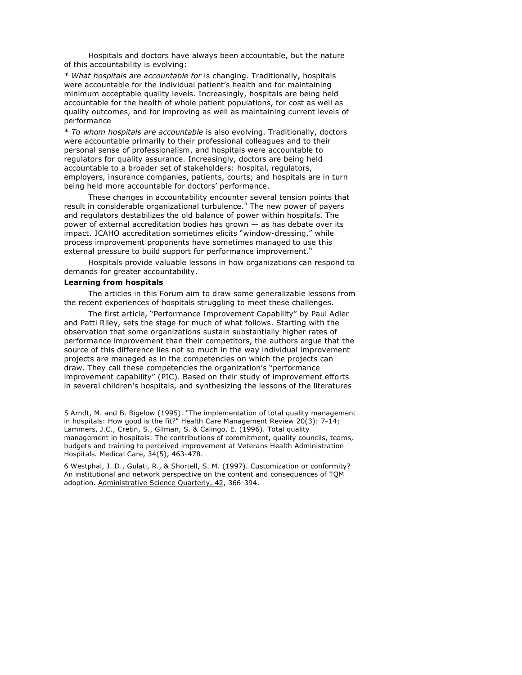Hospitals and doctors have always been accountable, but the nature of this accountability is evolving:

\* *What hospitals are accountable for* is changing. Traditionally, hospitals were accountable for the individual patient's health and for maintaining minimum acceptable quality levels. Increasingly, hospitals are being held accountable for the health of whole patient populations, for cost as well as quality outcomes, and for improving as well as maintaining current levels of performance

\* *To whom hospitals are accountable* is also evolving. Traditionally, doctors were accountable primarily to their professional colleagues and to their personal sense of professionalism, and hospitals were accountable to regulators for quality assurance. Increasingly, doctors are being held accountable to a broader set of stakeholders: hospital, regulators, employers, insurance companies, patients, courts; and hospitals are in turn being held more accountable for doctors' performance.

These changes in accountability encounter several tension points that result in considerable organizational turbulence.<sup>5</sup> The new power of payers and regulators destabilizes the old balance of power within hospitals. The power of external accreditation bodies has grown — as has debate over its impact. JCAHO accreditation sometimes elicits "window-dressing," while process improvement proponents have sometimes managed to use this external pressure to build support for performance improvement.<sup>6</sup>

Hospitals provide valuable lessons in how organizations can respond to demands for greater accountability.

#### **Learning from hospitals**

 $\overline{a}$ 

The articles in this Forum aim to draw some generalizable lessons from the recent experiences of hospitals struggling to meet these challenges.

The first article, "Performance Improvement Capability" by Paul Adler and Patti Riley, sets the stage for much of what follows. Starting with the observation that some organizations sustain substantially higher rates of performance improvement than their competitors, the authors argue that the source of this difference lies not so much in the way individual improvement projects are managed as in the competencies on which the projects can draw. They call these competencies the organization's "performance improvement capability" (PIC). Based on their study of improvement efforts in several children's hospitals, and synthesizing the lessons of the literatures

<sup>5</sup> Arndt, M. and B. Bigelow (1995). "The implementation of total quality management in hospitals: How good is the fit?" Health Care Management Review 20(3): 7-14; Lammers, J.C., Cretin, S., Gilman, S. & Calingo, E. (1996). Total quality management in hospitals: The contributions of commitment, quality councils, teams, budgets and training to perceived improvement at Veterans Health Administration Hospitals. Medical Care, 34(5), 463-478.

<sup>6</sup> Westphal, J. D., Gulati, R., & Shortell, S. M. (1997). Customization or conformity? An institutional and network perspective on the content and consequences of TQM adoption. Administrative Science Quarterly, 42, 366-394.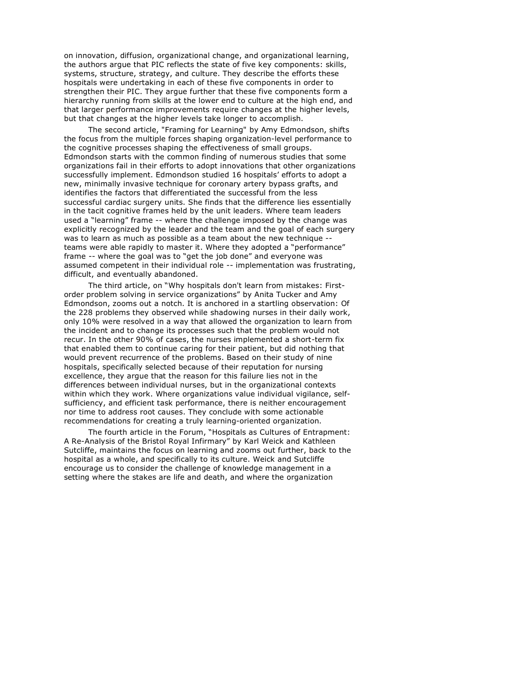on innovation, diffusion, organizational change, and organizational learning, the authors argue that PIC reflects the state of five key components: skills, systems, structure, strategy, and culture. They describe the efforts these hospitals were undertaking in each of these five components in order to strengthen their PIC. They argue further that these five components form a hierarchy running from skills at the lower end to culture at the high end, and that larger performance improvements require changes at the higher levels, but that changes at the higher levels take longer to accomplish.

The second article, "Framing for Learning" by Amy Edmondson, shifts the focus from the multiple forces shaping organization-level performance to the cognitive processes shaping the effectiveness of small groups. Edmondson starts with the common finding of numerous studies that some organizations fail in their efforts to adopt innovations that other organizations successfully implement. Edmondson studied 16 hospitals' efforts to adopt a new, minimally invasive technique for coronary artery bypass grafts, and identifies the factors that differentiated the successful from the less successful cardiac surgery units. She finds that the difference lies essentially in the tacit cognitive frames held by the unit leaders. Where team leaders used a "learning" frame -- where the challenge imposed by the change was explicitly recognized by the leader and the team and the goal of each surgery was to learn as much as possible as a team about the new technique - teams were able rapidly to master it. Where they adopted a "performance" frame -- where the goal was to "get the job done" and everyone was assumed competent in their individual role -- implementation was frustrating, difficult, and eventually abandoned.

The third article, on "Why hospitals don't learn from mistakes: Firstorder problem solving in service organizations" by Anita Tucker and Amy Edmondson, zooms out a notch. It is anchored in a startling observation: Of the 228 problems they observed while shadowing nurses in their daily work, only 10% were resolved in a way that allowed the organization to learn from the incident and to change its processes such that the problem would not recur. In the other 90% of cases, the nurses implemented a short-term fix that enabled them to continue caring for their patient, but did nothing that would prevent recurrence of the problems. Based on their study of nine hospitals, specifically selected because of their reputation for nursing excellence, they argue that the reason for this failure lies not in the differences between individual nurses, but in the organizational contexts within which they work. Where organizations value individual vigilance, selfsufficiency, and efficient task performance, there is neither encouragement nor time to address root causes. They conclude with some actionable recommendations for creating a truly learning-oriented organization.

The fourth article in the Forum, "Hospitals as Cultures of Entrapment: A Re-Analysis of the Bristol Royal Infirmary" by Karl Weick and Kathleen Sutcliffe, maintains the focus on learning and zooms out further, back to the hospital as a whole, and specifically to its culture. Weick and Sutcliffe encourage us to consider the challenge of knowledge management in a setting where the stakes are life and death, and where the organization